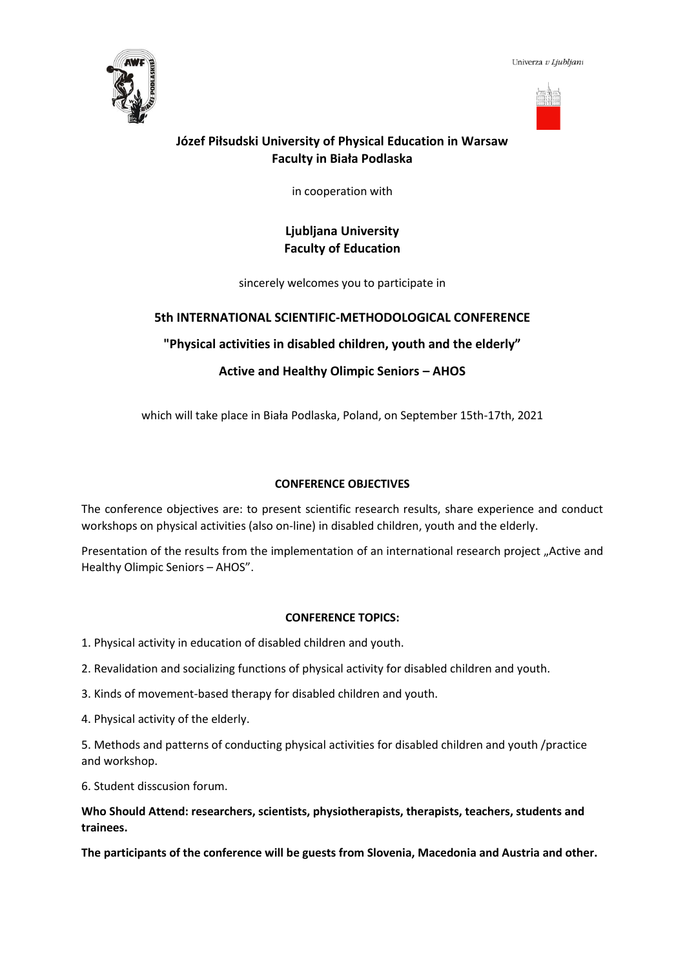Univerza v Ljubljani





# **Józef Piłsudski University of Physical Education in Warsaw Faculty in Biała Podlaska**

in cooperation with

# **Ljubljana University Faculty of Education**

sincerely welcomes you to participate in

# **5th INTERNATIONAL SCIENTIFIC-METHODOLOGICAL CONFERENCE**

**"Physical activities in disabled children, youth and the elderly"**

# **Active and Healthy Olimpic Seniors – AHOS**

which will take place in Biała Podlaska, Poland, on September 15th-17th, 2021

## **CONFERENCE OBJECTIVES**

The conference objectives are: to present scientific research results, share experience and conduct workshops on physical activities (also on-line) in disabled children, youth and the elderly.

Presentation of the results from the implementation of an international research project "Active and Healthy Olimpic Seniors – AHOS".

### **CONFERENCE TOPICS:**

1. Physical activity in education of disabled children and youth.

2. Revalidation and socializing functions of physical activity for disabled children and youth.

3. Kinds of movement-based therapy for disabled children and youth.

4. Physical activity of the elderly.

5. Methods and patterns of conducting physical activities for disabled children and youth /practice and workshop.

6. Student disscusion forum.

## **Who Should Attend: researchers, scientists, physiotherapists, therapists, teachers, students and trainees.**

**The participants of the conference will be guests from Slovenia, Macedonia and Austria and other.**